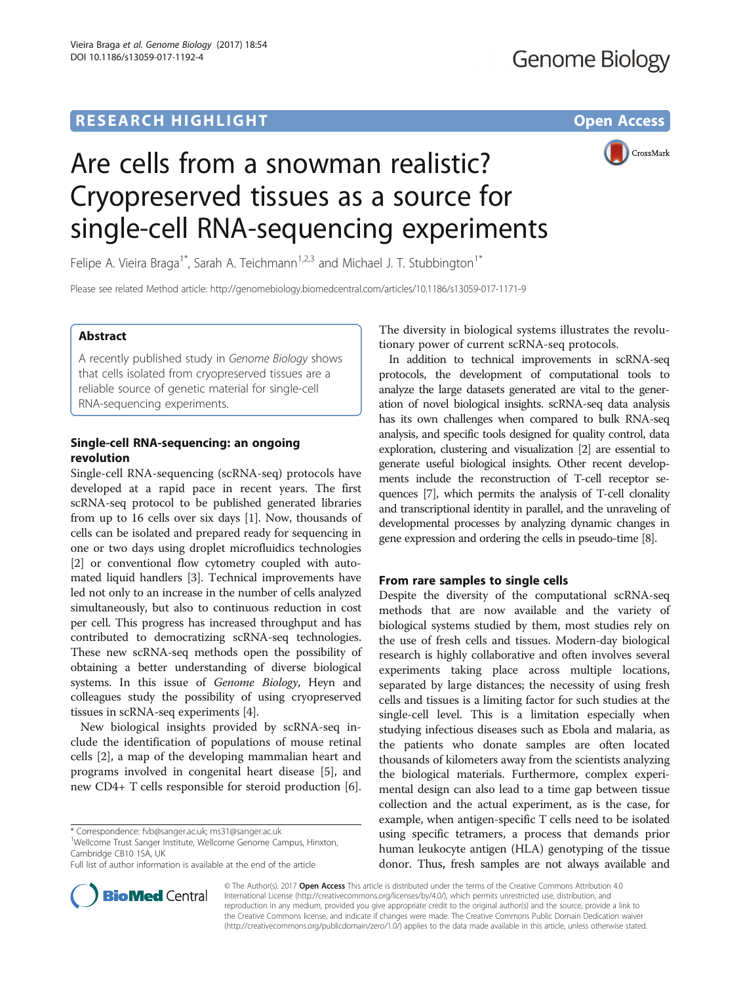# **RESEARCH HIGHLIGHT CONSUMING THE OPEN ACCESS**



# Are cells from a snowman realistic? Cryopreserved tissues as a source for single-cell RNA-sequencing experiments

Felipe A. Vieira Braga<sup>1\*</sup>, Sarah A. Teichmann<sup>1,2,3</sup> and Michael J. T. Stubbington<sup>1\*</sup>

Please see related Method article:<http://genomebiology.biomedcentral.com/articles/10.1186/s13059-017-1171-9>

# Abstract

A recently published study in Genome Biology shows that cells isolated from cryopreserved tissues are a reliable source of genetic material for single-cell RNA-sequencing experiments.

# Single-cell RNA-sequencing: an ongoing revolution

Single-cell RNA-sequencing (scRNA-seq) protocols have developed at a rapid pace in recent years. The first scRNA-seq protocol to be published generated libraries from up to 16 cells over six days [[1\]](#page-1-0). Now, thousands of cells can be isolated and prepared ready for sequencing in one or two days using droplet microfluidics technologies [[2\]](#page-1-0) or conventional flow cytometry coupled with automated liquid handlers [[3](#page-1-0)]. Technical improvements have led not only to an increase in the number of cells analyzed simultaneously, but also to continuous reduction in cost per cell. This progress has increased throughput and has contributed to democratizing scRNA-seq technologies. These new scRNA-seq methods open the possibility of obtaining a better understanding of diverse biological systems. In this issue of Genome Biology, Heyn and colleagues study the possibility of using cryopreserved tissues in scRNA-seq experiments [\[4](#page-1-0)].

New biological insights provided by scRNA-seq include the identification of populations of mouse retinal cells [\[2\]](#page-1-0), a map of the developing mammalian heart and programs involved in congenital heart disease [[5](#page-1-0)], and new CD4+ T cells responsible for steroid production [\[6](#page-2-0)].

\* Correspondence: [fvb@sanger.ac.uk](mailto:fvb@sanger.ac.uk); [ms31@sanger.ac.uk](mailto:ms31@sanger.ac.uk) <sup>1</sup>

<sup>1</sup>Wellcome Trust Sanger Institute, Wellcome Genome Campus, Hinxton, Cambridge CB10 1SA, UK

Full list of author information is available at the end of the article



In addition to technical improvements in scRNA-seq protocols, the development of computational tools to analyze the large datasets generated are vital to the generation of novel biological insights. scRNA-seq data analysis has its own challenges when compared to bulk RNA-seq analysis, and specific tools designed for quality control, data exploration, clustering and visualization [[2](#page-1-0)] are essential to generate useful biological insights. Other recent developments include the reconstruction of T-cell receptor sequences [\[7\]](#page-2-0), which permits the analysis of T-cell clonality and transcriptional identity in parallel, and the unraveling of developmental processes by analyzing dynamic changes in gene expression and ordering the cells in pseudo-time [[8](#page-2-0)].

# From rare samples to single cells

Despite the diversity of the computational scRNA-seq methods that are now available and the variety of biological systems studied by them, most studies rely on the use of fresh cells and tissues. Modern-day biological research is highly collaborative and often involves several experiments taking place across multiple locations, separated by large distances; the necessity of using fresh cells and tissues is a limiting factor for such studies at the single-cell level. This is a limitation especially when studying infectious diseases such as Ebola and malaria, as the patients who donate samples are often located thousands of kilometers away from the scientists analyzing the biological materials. Furthermore, complex experimental design can also lead to a time gap between tissue collection and the actual experiment, as is the case, for example, when antigen-specific T cells need to be isolated using specific tetramers, a process that demands prior human leukocyte antigen (HLA) genotyping of the tissue donor. Thus, fresh samples are not always available and



© The Author(s). 2017 **Open Access** This article is distributed under the terms of the Creative Commons Attribution 4.0 International License [\(http://creativecommons.org/licenses/by/4.0/](http://creativecommons.org/licenses/by/4.0/)), which permits unrestricted use, distribution, and reproduction in any medium, provided you give appropriate credit to the original author(s) and the source, provide a link to the Creative Commons license, and indicate if changes were made. The Creative Commons Public Domain Dedication waiver [\(http://creativecommons.org/publicdomain/zero/1.0/](http://creativecommons.org/publicdomain/zero/1.0/)) applies to the data made available in this article, unless otherwise stated.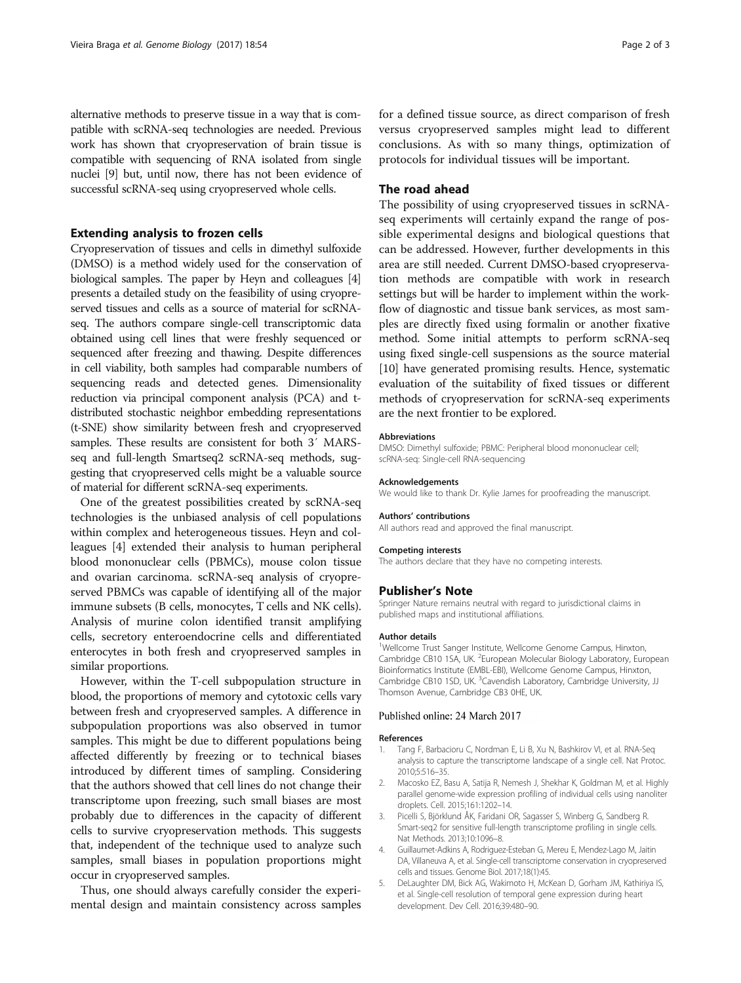<span id="page-1-0"></span>alternative methods to preserve tissue in a way that is compatible with scRNA-seq technologies are needed. Previous work has shown that cryopreservation of brain tissue is compatible with sequencing of RNA isolated from single nuclei [\[9](#page-2-0)] but, until now, there has not been evidence of successful scRNA-seq using cryopreserved whole cells.

## Extending analysis to frozen cells

Cryopreservation of tissues and cells in dimethyl sulfoxide (DMSO) is a method widely used for the conservation of biological samples. The paper by Heyn and colleagues [4] presents a detailed study on the feasibility of using cryopreserved tissues and cells as a source of material for scRNAseq. The authors compare single-cell transcriptomic data obtained using cell lines that were freshly sequenced or sequenced after freezing and thawing. Despite differences in cell viability, both samples had comparable numbers of sequencing reads and detected genes. Dimensionality reduction via principal component analysis (PCA) and tdistributed stochastic neighbor embedding representations (t-SNE) show similarity between fresh and cryopreserved samples. These results are consistent for both 3′ MARSseq and full-length Smartseq2 scRNA-seq methods, suggesting that cryopreserved cells might be a valuable source of material for different scRNA-seq experiments.

One of the greatest possibilities created by scRNA-seq technologies is the unbiased analysis of cell populations within complex and heterogeneous tissues. Heyn and colleagues [4] extended their analysis to human peripheral blood mononuclear cells (PBMCs), mouse colon tissue and ovarian carcinoma. scRNA-seq analysis of cryopreserved PBMCs was capable of identifying all of the major immune subsets (B cells, monocytes, T cells and NK cells). Analysis of murine colon identified transit amplifying cells, secretory enteroendocrine cells and differentiated enterocytes in both fresh and cryopreserved samples in similar proportions.

However, within the T-cell subpopulation structure in blood, the proportions of memory and cytotoxic cells vary between fresh and cryopreserved samples. A difference in subpopulation proportions was also observed in tumor samples. This might be due to different populations being affected differently by freezing or to technical biases introduced by different times of sampling. Considering that the authors showed that cell lines do not change their transcriptome upon freezing, such small biases are most probably due to differences in the capacity of different cells to survive cryopreservation methods. This suggests that, independent of the technique used to analyze such samples, small biases in population proportions might occur in cryopreserved samples.

Thus, one should always carefully consider the experimental design and maintain consistency across samples for a defined tissue source, as direct comparison of fresh versus cryopreserved samples might lead to different conclusions. As with so many things, optimization of protocols for individual tissues will be important.

## The road ahead

The possibility of using cryopreserved tissues in scRNAseq experiments will certainly expand the range of possible experimental designs and biological questions that can be addressed. However, further developments in this area are still needed. Current DMSO-based cryopreservation methods are compatible with work in research settings but will be harder to implement within the workflow of diagnostic and tissue bank services, as most samples are directly fixed using formalin or another fixative method. Some initial attempts to perform scRNA-seq using fixed single-cell suspensions as the source material [[10](#page-2-0)] have generated promising results. Hence, systematic evaluation of the suitability of fixed tissues or different methods of cryopreservation for scRNA-seq experiments are the next frontier to be explored.

#### Abbreviations

DMSO: Dimethyl sulfoxide; PBMC: Peripheral blood mononuclear cell; scRNA-seq: Single-cell RNA-sequencing

#### Acknowledgements

We would like to thank Dr. Kylie James for proofreading the manuscript.

#### Authors' contributions

All authors read and approved the final manuscript.

#### Competing interests

The authors declare that they have no competing interests.

#### Publisher's Note

Springer Nature remains neutral with regard to jurisdictional claims in published maps and institutional affiliations.

#### Author details

<sup>1</sup>Wellcome Trust Sanger Institute, Wellcome Genome Campus, Hinxton, Cambridge CB10 1SA, UK. <sup>2</sup>European Molecular Biology Laboratory, European Bioinformatics Institute (EMBL-EBI), Wellcome Genome Campus, Hinxton, Cambridge CB10 1SD, UK. <sup>3</sup>Cavendish Laboratory, Cambridge University, JJ Thomson Avenue, Cambridge CB3 0HE, UK.

#### Published online: 24 March 2017

#### References

- 1. Tang F, Barbacioru C, Nordman E, Li B, Xu N, Bashkirov VI, et al. RNA-Seq analysis to capture the transcriptome landscape of a single cell. Nat Protoc. 2010;5:516–35.
- 2. Macosko EZ, Basu A, Satija R, Nemesh J, Shekhar K, Goldman M, et al. Highly parallel genome-wide expression profiling of individual cells using nanoliter droplets. Cell. 2015;161:1202–14.
- 3. Picelli S, Björklund ÅK, Faridani OR, Sagasser S, Winberg G, Sandberg R. Smart-seq2 for sensitive full-length transcriptome profiling in single cells. Nat Methods. 2013;10:1096–8.
- 4. Guillaumet-Adkins A, Rodriguez-Esteban G, Mereu E, Mendez-Lago M, Jaitin DA, Villaneuva A, et al. Single-cell transcriptome conservation in cryopreserved cells and tissues. Genome Biol. 2017;18(1):45.
- 5. DeLaughter DM, Bick AG, Wakimoto H, McKean D, Gorham JM, Kathiriya IS, et al. Single-cell resolution of temporal gene expression during heart development. Dev Cell. 2016;39:480–90.